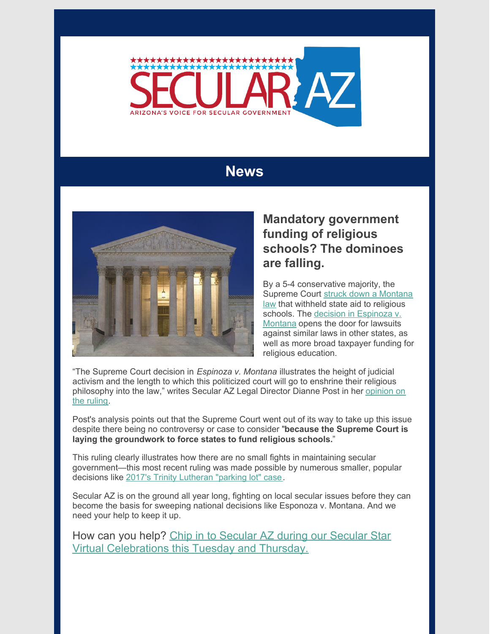

## **News**



## **Mandatory government funding of religious schools? The dominoes are falling.**

By a 5-4 conservative majority, the [Supreme](https://www.nytimes.com/2020/06/30/us/supreme-court-religious-schools-aid.html) Court struck down a Montana law that withheld state aid to religious schools. The decision in [Espinoza](https://www.supremecourt.gov/opinions/19pdf/18-1195_g314.pdf) v. Montana opens the door for lawsuits against similar laws in other states, as well as more broad taxpayer funding for religious education.

"The Supreme Court decision in *Espinoza v. Montana* illustrates the height of judicial activism and the length to which this politicized court will go to enshrine their religious [philosophy](https://secularaz.org/2020/07/04/espinoza-vs-montana-dianne-post-weighs-in-on-scotus-judicial-activism/) into the law," writes Secular AZ Legal Director Dianne Post in her opinion on the ruling.

Post's analysis points out that the Supreme Court went out of its way to take up this issue despite there being no controversy or case to consider "**because the Supreme Court is laying the groundwork to force states to fund religious schools.**"

This ruling clearly illustrates how there are no small fights in maintaining secular government—this most recent ruling was made possible by numerous smaller, popular decisions like 2017's Trinity [Lutheran](https://en.wikipedia.org/wiki/Trinity_Lutheran_Church_of_Columbia,_Inc._v._Comer) "parking lot" case.

Secular AZ is on the ground all year long, fighting on local secular issues before they can become the basis for sweeping national decisions like Esponoza v. Montana. And we need your help to keep it up.

How can you help? Chip in to Secular AZ during our Secular Star Virtual [Celebrations](https://secularaz.org/categories/events/) this Tuesday and Thursday.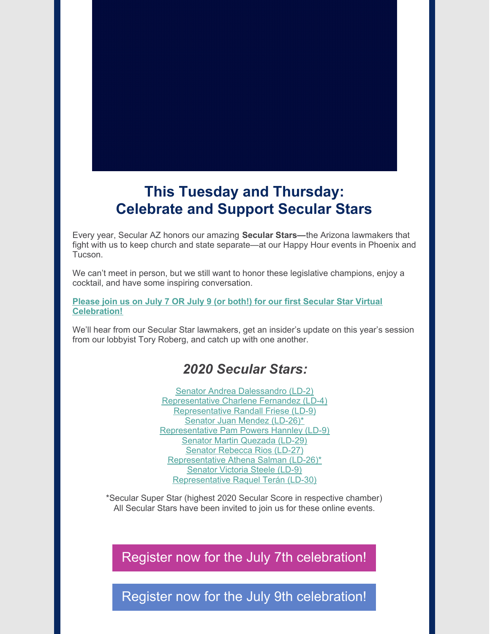

## **This Tuesday and Thursday: Celebrate and Support Secular Stars**

Every year, Secular AZ honors our amazing **Secular Stars—**the Arizona lawmakers that fight with us to keep church and state separate—at our Happy Hour events in Phoenix and Tucson.

We can't meet in person, but we still want to honor these legislative champions, enjoy a cocktail, and have some inspiring conversation.

#### **Please join us on July 7 OR July 9 (or both!) for our first Secular Star Virtual [Celebration!](https://secularaz.org/categories/events/)**

We'll hear from our Secular Star lawmakers, get an insider's update on this year's session from our lobbyist Tory Roberg, and catch up with one another.

### *2020 Secular Stars:*

Senator Andrea [Dalessandro](https://www.azleg.gov/Senate/Senate-member/?legislature=54&session=122&legislator=1918) (LD-2) [Representative](https://www.azleg.gov/House/House-member/?legislature=54&session=122&legislator=1864) Charlene Fernandez (LD-4) [Representative](https://www.azleg.gov/House/House-member/?legislature=54&session=122&legislator=1866) Randall Friese (LD-9) Senator Juan Mendez [\(LD-26\)\\*](https://www.azleg.gov/Senate/Senate-member/?legislature=54&session=122&legislator=1942) [Representative](https://www.azleg.gov/House/House-member/?legislature=54&session=122&legislator=1877) Pam Powers Hannley (LD-9) Senator Martin [Quezada](https://www.azleg.gov/Senate/Senate-member/?legislature=54&session=122&legislator=1945) (LD-29) Senator [Rebecca](https://www.azleg.gov/Senate/Senate-member/?legislature=54&session=122&legislator=1943) Rios (LD-27) [Representative](https://www.azleg.gov/House/House-member/?legislature=54&session=122&legislator=1885) Athena Salman (LD-26)\* [Senator](https://www.azleg.gov/Senate/Senate-member/?legislature=54&session=122&legislator=1925) Victoria Steele (LD-9) [Representative](https://www.azleg.gov/House/House-member/?legislature=54&session=122&legislator=1911) Raquel Terán (LD-30)

\*Secular Super Star (highest 2020 Secular Score in respective chamber) All Secular Stars have been invited to join us for these online events.

## Register now for the July 7th [celebration!](https://us02web.zoom.us/meeting/register/tZcvd-qvrz0qHdOpTb66572o9IiLAiHhN4ro)

Register now for the July 9th [celebration!](https://us02web.zoom.us/meeting/register/tZYtc-morTkoHdTyIQePyDsOxMWHrOLtrs4y)